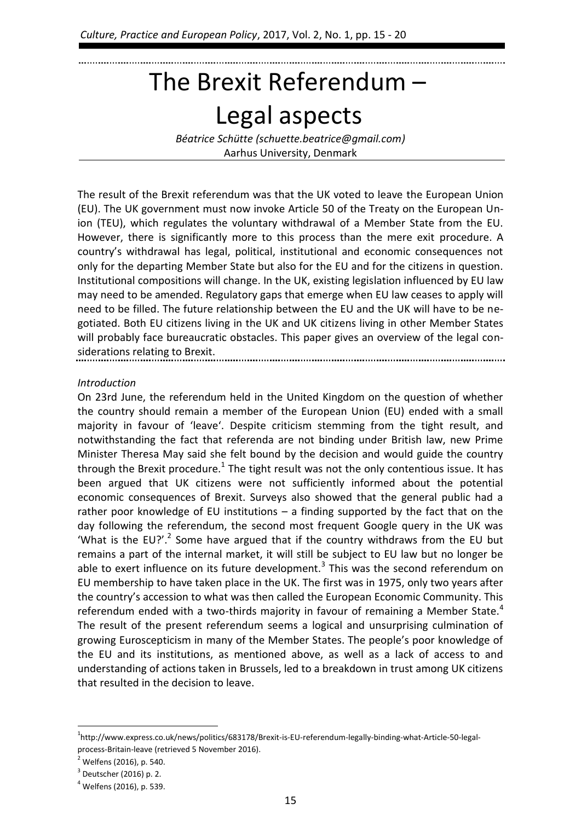# The Brexit Referendum – Legal aspects

*Béatrice Schütte (schuette.beatrice@gmail.com)* Aarhus University, Denmark

The result of the Brexit referendum was that the UK voted to leave the European Union (EU). The UK government must now invoke Article 50 of the Treaty on the European Union (TEU), which regulates the voluntary withdrawal of a Member State from the EU. However, there is significantly more to this process than the mere exit procedure. A country's withdrawal has legal, political, institutional and economic consequences not only for the departing Member State but also for the EU and for the citizens in question. Institutional compositions will change. In the UK, existing legislation influenced by EU law may need to be amended. Regulatory gaps that emerge when EU law ceases to apply will need to be filled. The future relationship between the EU and the UK will have to be negotiated. Both EU citizens living in the UK and UK citizens living in other Member States will probably face bureaucratic obstacles. This paper gives an overview of the legal considerations relating to Brexit.

## *Introduction*

On 23rd June, the referendum held in the United Kingdom on the question of whether the country should remain a member of the European Union (EU) ended with a small majority in favour of 'leave'. Despite criticism stemming from the tight result, and notwithstanding the fact that referenda are not binding under British law, new Prime Minister Theresa May said she felt bound by the decision and would guide the country through the Brexit procedure.<sup>1</sup> The tight result was not the only contentious issue. It has been argued that UK citizens were not sufficiently informed about the potential economic consequences of Brexit. Surveys also showed that the general public had a rather poor knowledge of EU institutions – a finding supported by the fact that on the day following the referendum, the second most frequent Google query in the UK was 'What is the EU?'.<sup>2</sup> Some have argued that if the country withdraws from the EU but remains a part of the internal market, it will still be subject to EU law but no longer be able to exert influence on its future development.<sup>3</sup> This was the second referendum on EU membership to have taken place in the UK. The first was in 1975, only two years after the country's accession to what was then called the European Economic Community. This referendum ended with a two-thirds majority in favour of remaining a Member State. $4$ The result of the present referendum seems a logical and unsurprising culmination of growing Euroscepticism in many of the Member States. The people's poor knowledge of the EU and its institutions, as mentioned above, as well as a lack of access to and understanding of actions taken in Brussels, led to a breakdown in trust among UK citizens that resulted in the decision to leave.

<sup>&</sup>lt;sup>1</sup>http://www.express.co.uk/news/politics/683178/Brexit-is-EU-referendum-legally-binding-what-Article-50-legalprocess-Britain-leave (retrieved 5 November 2016).

<sup>&</sup>lt;sup>2</sup> Welfens (2016), p. 540.

 $3$  Deutscher (2016) p. 2.

<sup>4</sup> Welfens (2016), p. 539.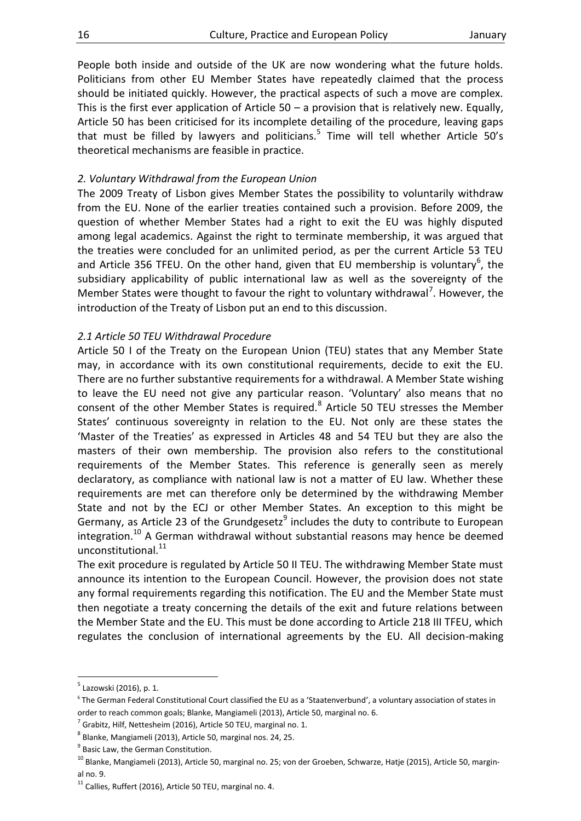People both inside and outside of the UK are now wondering what the future holds. Politicians from other EU Member States have repeatedly claimed that the process should be initiated quickly. However, the practical aspects of such a move are complex. This is the first ever application of Article  $50 - a$  provision that is relatively new. Equally, Article 50 has been criticised for its incomplete detailing of the procedure, leaving gaps that must be filled by lawyers and politicians.<sup>5</sup> Time will tell whether Article 50's theoretical mechanisms are feasible in practice.

#### *2. Voluntary Withdrawal from the European Union*

The 2009 Treaty of Lisbon gives Member States the possibility to voluntarily withdraw from the EU. None of the earlier treaties contained such a provision. Before 2009, the question of whether Member States had a right to exit the EU was highly disputed among legal academics. Against the right to terminate membership, it was argued that the treaties were concluded for an unlimited period, as per the current Article 53 TEU and Article 356 TFEU. On the other hand, given that EU membership is voluntary<sup>6</sup>, the subsidiary applicability of public international law as well as the sovereignty of the Member States were thought to favour the right to voluntary withdrawal<sup>7</sup>. However, the introduction of the Treaty of Lisbon put an end to this discussion.

#### *2.1 Article 50 TEU Withdrawal Procedure*

Article 50 I of the Treaty on the European Union (TEU) states that any Member State may, in accordance with its own constitutional requirements, decide to exit the EU. There are no further substantive requirements for a withdrawal. A Member State wishing to leave the EU need not give any particular reason. 'Voluntary' also means that no consent of the other Member States is required. $8$  Article 50 TEU stresses the Member States' continuous sovereignty in relation to the EU. Not only are these states the 'Master of the Treaties' as expressed in Articles 48 and 54 TEU but they are also the masters of their own membership. The provision also refers to the constitutional requirements of the Member States. This reference is generally seen as merely declaratory, as compliance with national law is not a matter of EU law. Whether these requirements are met can therefore only be determined by the withdrawing Member State and not by the ECJ or other Member States. An exception to this might be Germany, as Article 23 of the Grundgesetz<sup>9</sup> includes the duty to contribute to European integration.<sup>10</sup> A German withdrawal without substantial reasons may hence be deemed unconstitutional.<sup>11</sup>

The exit procedure is regulated by Article 50 II TEU. The withdrawing Member State must announce its intention to the European Council. However, the provision does not state any formal requirements regarding this notification. The EU and the Member State must then negotiate a treaty concerning the details of the exit and future relations between the Member State and the EU. This must be done according to Article 218 III TFEU, which regulates the conclusion of international agreements by the EU. All decision-making

<u>.</u>

<sup>&</sup>lt;sup>5</sup> Lazowski (2016), p. 1.

<sup>6</sup> The German Federal Constitutional Court classified the EU as a 'Staatenverbund', a voluntary association of states in order to reach common goals; Blanke, Mangiameli (2013), Article 50, marginal no. 6.

 $^7$  Grabitz, Hilf, Nettesheim (2016), Article 50 TEU, marginal no. 1.

<sup>8</sup> Blanke, Mangiameli (2013), Article 50, marginal nos. 24, 25.

<sup>&</sup>lt;sup>9</sup> Basic Law, the German Constitution.

<sup>&</sup>lt;sup>10</sup> Blanke, Mangiameli (2013), Article 50, marginal no. 25; von der Groeben, Schwarze, Hatje (2015), Article 50, marginal no. 9.

<sup>&</sup>lt;sup>11</sup> Callies, Ruffert (2016), Article 50 TEU, marginal no. 4.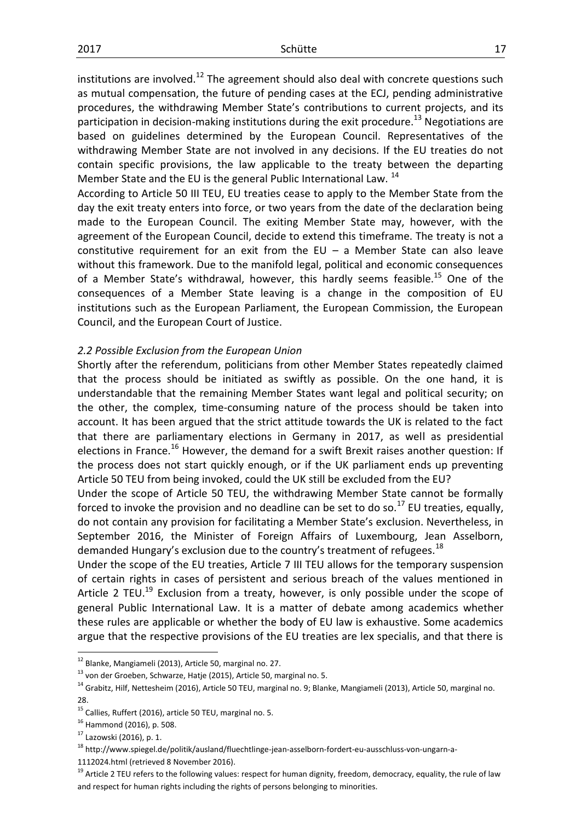institutions are involved.<sup>12</sup> The agreement should also deal with concrete questions such as mutual compensation, the future of pending cases at the ECJ, pending administrative procedures, the withdrawing Member State's contributions to current projects, and its participation in decision-making institutions during the exit procedure.<sup>13</sup> Negotiations are based on guidelines determined by the European Council. Representatives of the withdrawing Member State are not involved in any decisions. If the EU treaties do not contain specific provisions, the law applicable to the treaty between the departing Member State and the EU is the general Public International Law. <sup>14</sup>

According to Article 50 III TEU, EU treaties cease to apply to the Member State from the day the exit treaty enters into force, or two years from the date of the declaration being made to the European Council. The exiting Member State may, however, with the agreement of the European Council, decide to extend this timeframe. The treaty is not a constitutive requirement for an exit from the  $EU - a$  Member State can also leave without this framework. Due to the manifold legal, political and economic consequences of a Member State's withdrawal, however, this hardly seems feasible.<sup>15</sup> One of the consequences of a Member State leaving is a change in the composition of EU institutions such as the European Parliament, the European Commission, the European Council, and the European Court of Justice.

## *2.2 Possible Exclusion from the European Union*

Shortly after the referendum, politicians from other Member States repeatedly claimed that the process should be initiated as swiftly as possible. On the one hand, it is understandable that the remaining Member States want legal and political security; on the other, the complex, time-consuming nature of the process should be taken into account. It has been argued that the strict attitude towards the UK is related to the fact that there are parliamentary elections in Germany in 2017, as well as presidential elections in France.<sup>16</sup> However, the demand for a swift Brexit raises another question: If the process does not start quickly enough, or if the UK parliament ends up preventing Article 50 TEU from being invoked, could the UK still be excluded from the EU?

Under the scope of Article 50 TEU, the withdrawing Member State cannot be formally forced to invoke the provision and no deadline can be set to do so.<sup>17</sup> EU treaties, equally, do not contain any provision for facilitating a Member State's exclusion. Nevertheless, in September 2016, the Minister of Foreign Affairs of Luxembourg, Jean Asselborn, demanded Hungary's exclusion due to the country's treatment of refugees.<sup>18</sup>

Under the scope of the EU treaties, Article 7 III TEU allows for the temporary suspension of certain rights in cases of persistent and serious breach of the values mentioned in Article 2 TEU.<sup>19</sup> Exclusion from a treaty, however, is only possible under the scope of general Public International Law. It is a matter of debate among academics whether these rules are applicable or whether the body of EU law is exhaustive. Some academics argue that the respective provisions of the EU treaties are lex specialis, and that there is

 $12$  Blanke, Mangiameli (2013), Article 50, marginal no. 27.

 $^{13}$  von der Groeben, Schwarze, Hatje (2015), Article 50, marginal no. 5.

 $14$  Grabitz, Hilf, Nettesheim (2016), Article 50 TEU, marginal no. 9; Blanke, Mangiameli (2013), Article 50, marginal no. 28.

<sup>&</sup>lt;sup>15</sup> Callies, Ruffert (2016), article 50 TEU, marginal no. 5.

<sup>16</sup> Hammond (2016), p. 508.

<sup>17</sup> Lazowski (2016), p. 1.

<sup>18</sup> http://www.spiegel.de/politik/ausland/fluechtlinge-jean-asselborn-fordert-eu-ausschluss-von-ungarn-a-

<sup>1112024.</sup>html (retrieved 8 November 2016).

<sup>&</sup>lt;sup>19</sup> Article 2 TEU refers to the following values: respect for human dignity, freedom, democracy, equality, the rule of law and respect for human rights including the rights of persons belonging to minorities.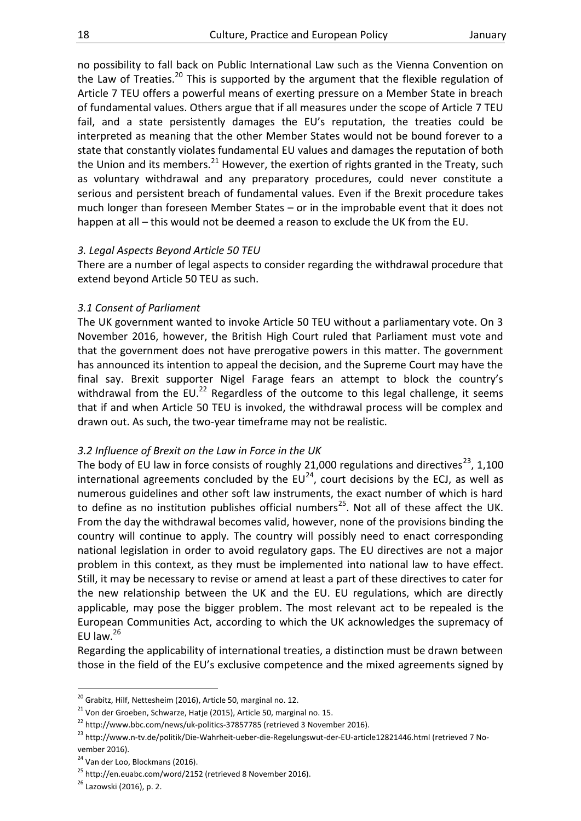no possibility to fall back on Public International Law such as the Vienna Convention on the Law of Treaties.<sup>20</sup> This is supported by the argument that the flexible regulation of Article 7 TEU offers a powerful means of exerting pressure on a Member State in breach of fundamental values. Others argue that if all measures under the scope of Article 7 TEU fail, and a state persistently damages the EU's reputation, the treaties could be interpreted as meaning that the other Member States would not be bound forever to a state that constantly violates fundamental EU values and damages the reputation of both the Union and its members.<sup>21</sup> However, the exertion of rights granted in the Treaty, such as voluntary withdrawal and any preparatory procedures, could never constitute a serious and persistent breach of fundamental values. Even if the Brexit procedure takes much longer than foreseen Member States – or in the improbable event that it does not happen at all – this would not be deemed a reason to exclude the UK from the EU.

#### *3. Legal Aspects Beyond Article 50 TEU*

There are a number of legal aspects to consider regarding the withdrawal procedure that extend beyond Article 50 TEU as such.

#### *3.1 Consent of Parliament*

The UK government wanted to invoke Article 50 TEU without a parliamentary vote. On 3 November 2016, however, the British High Court ruled that Parliament must vote and that the government does not have prerogative powers in this matter. The government has announced its intention to appeal the decision, and the Supreme Court may have the final say. Brexit supporter Nigel Farage fears an attempt to block the country's withdrawal from the EU.<sup>22</sup> Regardless of the outcome to this legal challenge, it seems that if and when Article 50 TEU is invoked, the withdrawal process will be complex and drawn out. As such, the two-year timeframe may not be realistic.

## *3.2 Influence of Brexit on the Law in Force in the UK*

The body of EU law in force consists of roughly 21,000 regulations and directives<sup>23</sup>, 1,100 international agreements concluded by the  $EU^{24}$ , court decisions by the ECJ, as well as numerous guidelines and other soft law instruments, the exact number of which is hard to define as no institution publishes official numbers<sup>25</sup>. Not all of these affect the UK. From the day the withdrawal becomes valid, however, none of the provisions binding the country will continue to apply. The country will possibly need to enact corresponding national legislation in order to avoid regulatory gaps. The EU directives are not a major problem in this context, as they must be implemented into national law to have effect. Still, it may be necessary to revise or amend at least a part of these directives to cater for the new relationship between the UK and the EU. EU regulations, which are directly applicable, may pose the bigger problem. The most relevant act to be repealed is the European Communities Act, according to which the UK acknowledges the supremacy of EU law. $^{26}$ 

Regarding the applicability of international treaties, a distinction must be drawn between those in the field of the EU's exclusive competence and the mixed agreements signed by

 $^{20}$  Grabitz, Hilf, Nettesheim (2016), Article 50, marginal no. 12.

 $^{21}$  Von der Groeben, Schwarze, Hatje (2015), Article 50, marginal no. 15.

<sup>&</sup>lt;sup>22</sup> http://www.bbc.com/news/uk-politics-37857785 (retrieved 3 November 2016).

<sup>&</sup>lt;sup>23</sup> http://www.n-tv.de/politik/Die-Wahrheit-ueber-die-Regelungswut-der-EU-article12821446.html (retrieved 7 November 2016).

<sup>&</sup>lt;sup>24</sup> Van der Loo, Blockmans (2016).

<sup>25</sup> http://en.euabc.com/word/2152 (retrieved 8 November 2016).

<sup>26</sup> Lazowski (2016), p. 2.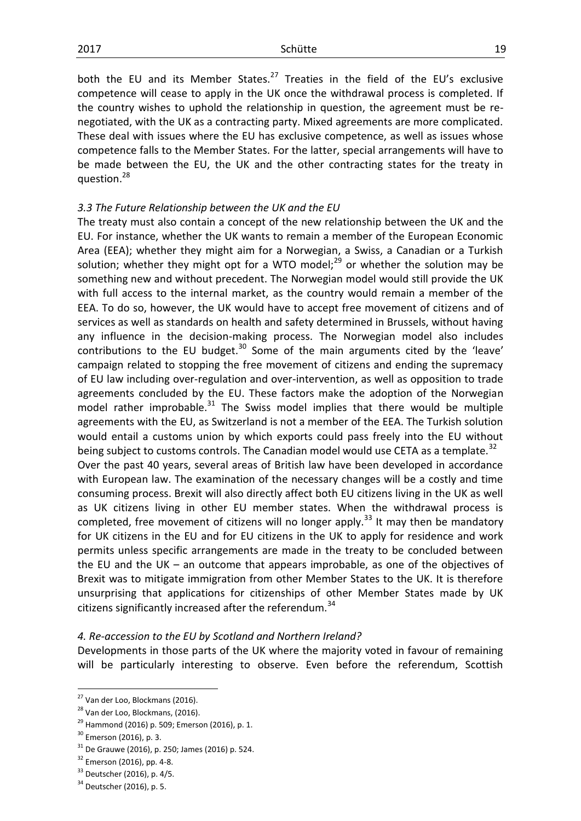both the EU and its Member States.<sup>27</sup> Treaties in the field of the EU's exclusive competence will cease to apply in the UK once the withdrawal process is completed. If the country wishes to uphold the relationship in question, the agreement must be renegotiated, with the UK as a contracting party. Mixed agreements are more complicated. These deal with issues where the EU has exclusive competence, as well as issues whose competence falls to the Member States. For the latter, special arrangements will have to be made between the EU, the UK and the other contracting states for the treaty in question.<sup>28</sup>

#### *3.3 The Future Relationship between the UK and the EU*

The treaty must also contain a concept of the new relationship between the UK and the EU. For instance, whether the UK wants to remain a member of the European Economic Area (EEA); whether they might aim for a Norwegian, a Swiss, a Canadian or a Turkish solution; whether they might opt for a WTO model; $^{29}$  or whether the solution may be something new and without precedent. The Norwegian model would still provide the UK with full access to the internal market, as the country would remain a member of the EEA. To do so, however, the UK would have to accept free movement of citizens and of services as well as standards on health and safety determined in Brussels, without having any influence in the decision-making process. The Norwegian model also includes contributions to the EU budget. $30$  Some of the main arguments cited by the 'leave' campaign related to stopping the free movement of citizens and ending the supremacy of EU law including over-regulation and over-intervention, as well as opposition to trade agreements concluded by the EU. These factors make the adoption of the Norwegian model rather improbable.<sup>31</sup> The Swiss model implies that there would be multiple agreements with the EU, as Switzerland is not a member of the EEA. The Turkish solution would entail a customs union by which exports could pass freely into the EU without being subject to customs controls. The Canadian model would use CETA as a template.<sup>32</sup> Over the past 40 years, several areas of British law have been developed in accordance with European law. The examination of the necessary changes will be a costly and time consuming process. Brexit will also directly affect both EU citizens living in the UK as well as UK citizens living in other EU member states. When the withdrawal process is completed, free movement of citizens will no longer apply.<sup>33</sup> It may then be mandatory for UK citizens in the EU and for EU citizens in the UK to apply for residence and work permits unless specific arrangements are made in the treaty to be concluded between the EU and the UK – an outcome that appears improbable, as one of the objectives of Brexit was to mitigate immigration from other Member States to the UK. It is therefore unsurprising that applications for citizenships of other Member States made by UK citizens significantly increased after the referendum.<sup>34</sup>

#### *4. Re-accession to the EU by Scotland and Northern Ireland?*

Developments in those parts of the UK where the majority voted in favour of remaining will be particularly interesting to observe. Even before the referendum, Scottish

<sup>&</sup>lt;sup>27</sup> Van der Loo, Blockmans (2016).

<sup>&</sup>lt;sup>28</sup> Van der Loo, Blockmans, (2016).

 $29$  Hammond (2016) p. 509; Emerson (2016), p. 1.

<sup>&</sup>lt;sup>30</sup> Emerson (2016), p. 3.

 $31$  De Grauwe (2016), p. 250; James (2016) p. 524.

<sup>&</sup>lt;sup>32</sup> Emerson (2016), pp. 4-8.

<sup>33</sup> Deutscher (2016), p. 4/5.

<sup>&</sup>lt;sup>34</sup> Deutscher (2016), p. 5.